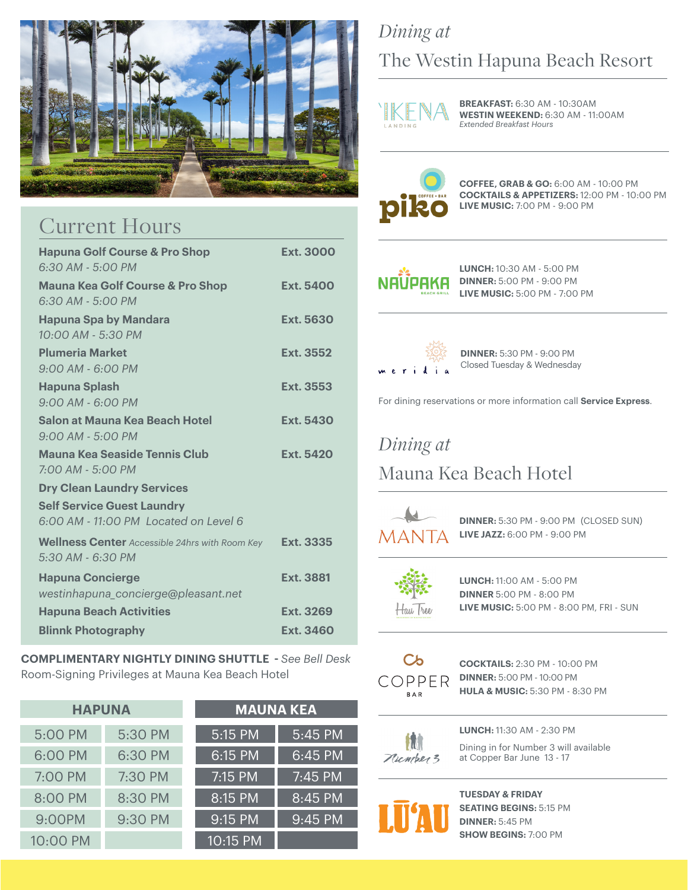

## Current Hours

| <b>Hapuna Golf Course &amp; Pro Shop</b>              | <b>Ext. 3000</b> |
|-------------------------------------------------------|------------------|
| $6:30$ AM - $5:00$ PM                                 |                  |
| <b>Mauna Kea Golf Course &amp; Pro Shop</b>           | Ext. 5400        |
| $6:30$ AM - $5:00$ PM                                 |                  |
| <b>Hapuna Spa by Mandara</b>                          | <b>Ext. 5630</b> |
| 10:00 AM - 5:30 PM                                    |                  |
| <b>Plumeria Market</b>                                | Ext. 3552        |
| $9:00$ AM - 6:00 PM                                   |                  |
| <b>Hapuna Splash</b>                                  | Ext. 3553        |
| $9:00$ AM - 6:00 PM                                   |                  |
| Salon at Mauna Kea Beach Hotel                        | Ext. 5430        |
| $9:00$ AM - 5:00 PM                                   |                  |
| Mauna Kea Seaside Tennis Club                         | Ext. 5420        |
| $7:00$ AM - 5:00 PM                                   |                  |
| <b>Dry Clean Laundry Services</b>                     |                  |
| <b>Self Service Guest Laundry</b>                     |                  |
| 6:00 AM - 11:00 PM I ocated on Level 6                |                  |
| <b>Wellness Center</b> Accessible 24hrs with Room Key | Ext. 3335        |
| 5:30 AM - 6:30 PM                                     |                  |
| <b>Hapuna Concierge</b>                               | Ext. 3881        |
| westinhapuna_concierge@pleasant.net                   |                  |
| <b>Hapuna Beach Activities</b>                        | Ext. 3269        |
| <b>Blinnk Photography</b>                             | <b>Ext. 3460</b> |

**COMPLIMENTARY NIGHTLY DINING SHUTTLE -** *See Bell Desk* Room-Signing Privileges at Mauna Kea Beach Hotel

| <b>HAPUNA</b> |         | <b>MAUNA KEA</b>     |         |  |
|---------------|---------|----------------------|---------|--|
| 5:00 PM       | 5:30 PM | $\overline{5:15}$ PM | 5:45 PM |  |
| 6:00 PM       | 6:30 PM | $6:15$ PM            | 6:45 PM |  |
| 7:00 PM       | 7:30 PM | 7:15 PM              | 7:45 PM |  |
| 8:00 PM       | 8:30 PM | 8:15 PM              | 8:45 PM |  |
| 9:00PM        | 9:30 PM | 9:15 PM              | 9:45 PM |  |
| 10:00 PM      |         | 10:15 PM             |         |  |

## *Dining at*  The Westin Hapuna Beach Resort



**BREAKFAST:** 6:30 AM - 10:30AM **WESTIN WEEKEND:** 6:30 AM - 11:00AM *Extended Breakfast Hours*



**COFFEE, GRAB & GO:** 6:00 AM - 10:00 PM **COCKTAILS & APPETIZERS:** 12:00 PM - 10:00 PM **LIVE MUSIC:** 7:00 PM - 9:00 PM

**LUNCH:** 10:30 AM - 5:00 PM **DINNER:** 5:00 PM - 9:00 PM **LIVE MUSIC:** 5:00 PM - 7:00 PM



**DINNER:** 5:30 PM - 9:00 PM Closed Tuesday & Wednesday

For dining reservations or more information call **Service Express**.

## *Dining at*  Mauna Kea Beach Hotel



 **DINNER:** 5:30 PM - 9:00 PM (CLOSED SUN) **LIVE JAZZ:** 6:00 PM - 9:00 PM



 $\overline{a}$ 

 $\overline{a}$ 

 **LUNCH:** 11:00 AM - 5:00 PM **DINNER** 5:00 PM - 8:00 PM **LIVE MUSIC:** 5:00 PM - 8:00 PM, FRI - SUN



C<sub>b</sub> **COCKTAILS:** 2:30 PM - 10:00 PM **DINNER:** 5:00 PM - 10:00 PM **BAR HULA & MUSIC:** 5:30 PM - 8:30 PM



 **LUNCH:** 11:30 AM - 2:30 PM **THE EXECUTE IS DURING THE PARTMENT STANDULE STATE IS A PARTMENT STANDULE STATE IS A PARTMENT STANDULE STATE ISL** at Copper Bar June 13 - 17



 **TUESDAY & FRIDAY SEATING BEGINS:** 5:15 PM  **DINNER:** 5:45 PM  **SHOW BEGINS:** 7:00 PM